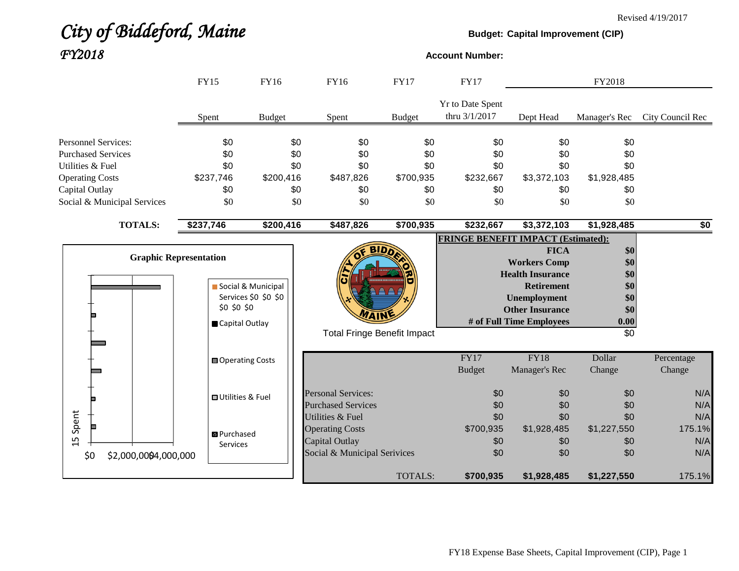